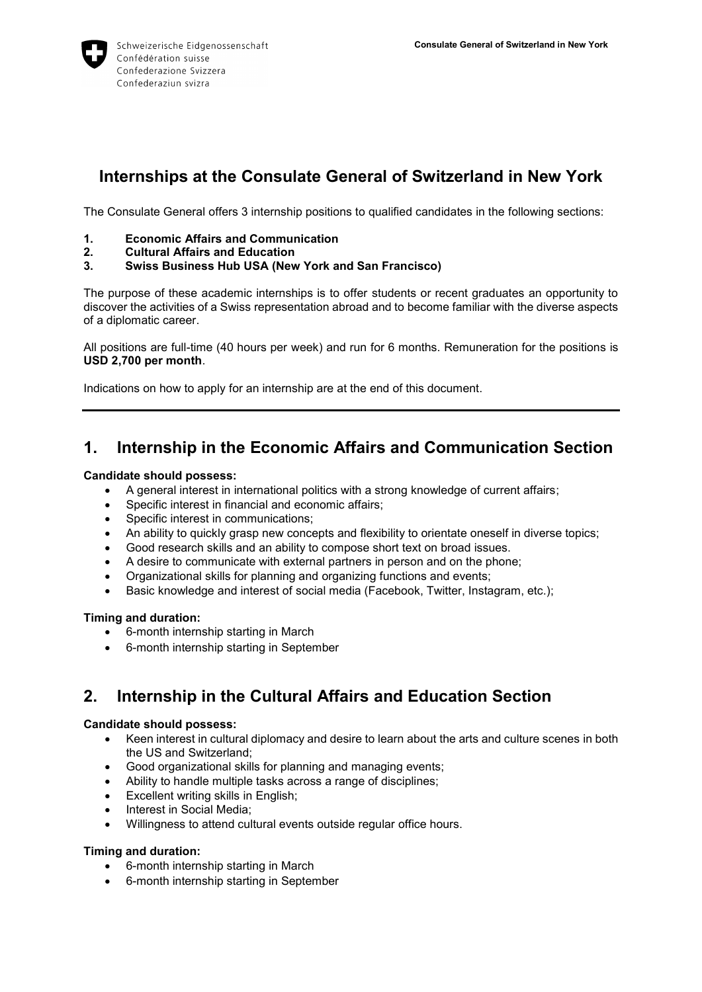

# **Internships at the Consulate General of Switzerland in New York**

The Consulate General offers 3 internship positions to qualified candidates in the following sections:

- **1. Economic Affairs and Communication**
- **2. Cultural Affairs and Education**
- **3. Swiss Business Hub USA (New York and San Francisco)**

The purpose of these academic internships is to offer students or recent graduates an opportunity to discover the activities of a Swiss representation abroad and to become familiar with the diverse aspects of a diplomatic career.

All positions are full-time (40 hours per week) and run for 6 months. Remuneration for the positions is **USD 2,700 per month**.

Indications on how to apply for an internship are at the end of this document.

## **1. Internship in the Economic Affairs and Communication Section**

#### **Candidate should possess:**

- A general interest in international politics with a strong knowledge of current affairs;
- Specific interest in financial and economic affairs;
- Specific interest in communications;
- An ability to quickly grasp new concepts and flexibility to orientate oneself in diverse topics;
- Good research skills and an ability to compose short text on broad issues.
- A desire to communicate with external partners in person and on the phone;
- Organizational skills for planning and organizing functions and events;
- Basic knowledge and interest of social media (Facebook, Twitter, Instagram, etc.);

#### **Timing and duration:**

- 6-month internship starting in March
- 6-month internship starting in September

## **2. Internship in the Cultural Affairs and Education Section**

#### **Candidate should possess:**

- Keen interest in cultural diplomacy and desire to learn about the arts and culture scenes in both the US and Switzerland;
- Good organizational skills for planning and managing events;
- Ability to handle multiple tasks across a range of disciplines;
- **Excellent writing skills in English;**
- Interest in Social Media;
- Willingness to attend cultural events outside regular office hours.

#### **Timing and duration:**

- 6-month internship starting in March
- 6-month internship starting in September